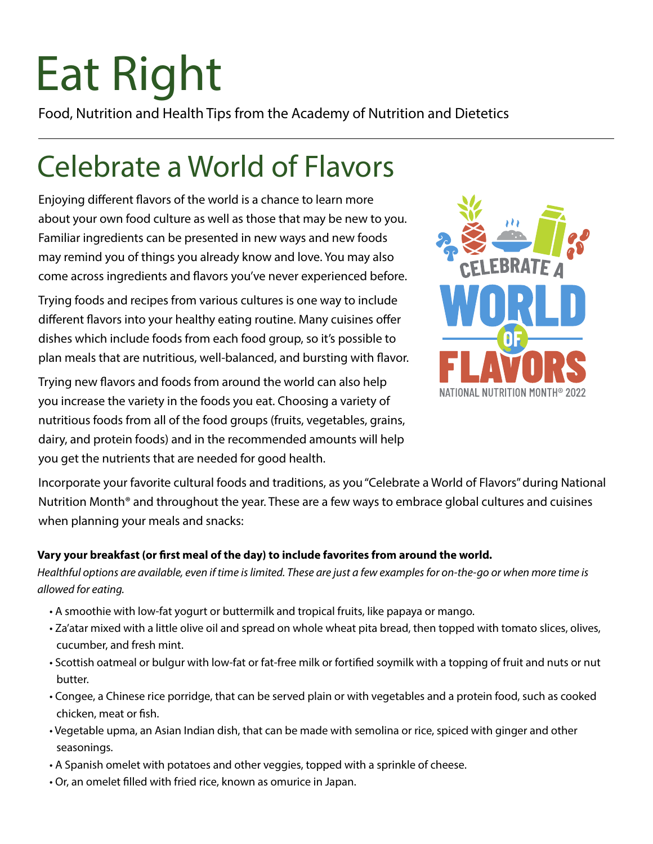# Eat Right

Food, Nutrition and Health Tips from the Academy of Nutrition and Dietetics

### Celebrate a World of Flavors

Enjoying different flavors of the world is a chance to learn more about your own food culture as well as those that may be new to you. Familiar ingredients can be presented in new ways and new foods may remind you of things you already know and love. You may also come across ingredients and flavors you've never experienced before.

Trying foods and recipes from various cultures is one way to include different flavors into your healthy eating routine. Many cuisines offer dishes which include foods from each food group, so it's possible to plan meals that are nutritious, well-balanced, and bursting with flavor.

Trying new flavors and foods from around the world can also help you increase the variety in the foods you eat. Choosing a variety of nutritious foods from all of the food groups (fruits, vegetables, grains, dairy, and protein foods) and in the recommended amounts will help you get the nutrients that are needed for good health.



Incorporate your favorite cultural foods and traditions, as you "Celebrate a World of Flavors" during National Nutrition Month® and throughout the year. These are a few ways to embrace global cultures and cuisines when planning your meals and snacks:

#### **Vary your breakfast (or first meal of the day) to include favorites from around the world.**

*Healthful options are available, even if time is limited. These are just a few examples for on-the-go or when more time is allowed for eating.*

- A smoothie with low-fat yogurt or buttermilk and tropical fruits, like papaya or mango.
- Za'atar mixed with a little olive oil and spread on whole wheat pita bread, then topped with tomato slices, olives, cucumber, and fresh mint.
- Scottish oatmeal or bulgur with low-fat or fat-free milk or fortified soymilk with a topping of fruit and nuts or nut butter.
- Congee, a Chinese rice porridge, that can be served plain or with vegetables and a protein food, such as cooked chicken, meat or fish.
- Vegetable upma, an Asian Indian dish, that can be made with semolina or rice, spiced with ginger and other seasonings.
- A Spanish omelet with potatoes and other veggies, topped with a sprinkle of cheese.
- Or, an omelet filled with fried rice, known as omurice in Japan.